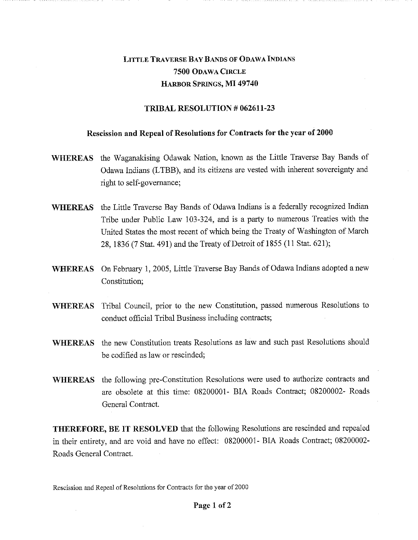## LITTLE TRAVERSE BAY BANDS OF ODAWA INDIANS **7500** ODAWA CIRCLE HARBOR SPRINGS, **MI 49740**

## **TRIBAL RESOLUTION # 062611-23**

## **Rescission and Repeal of Resolutions for Contracts for the year of 2000**

- **WHEREAS** the Waganakising Odawak Nation, known as the Little Traverse Bay Bands of Odawa Indians (LTBB), and its citizens are vested with inherent sovereignty and right to self-governance;
- **WHEREAS** the Little Traverse Bay Bands of Odawa Indians is a federally recognized Indian Tribe under Public Law 103-324, and is a party to numerous Treaties with the United States the most recent of which being the Treaty of Washington of March 28, 1836 (7 Stat. 491) and the Treaty of Detroit of 1855 (11 Stat. 621);
- **WHEREAS** On February 1, 2005, Little Traverse Bay Bands of Odawa Indians adopted a new Constitution;
- **WHEREAS** Tribal Council, prior to the new Constitution, passed numerous Resolutions to conduct official Tribal Business including contracts;
- **WHEREAS** the new Constitution treats Resolutions as law and such past Resolutions should be codified as law or rescinded;
- **WHEREAS** the following pre-Constitution Resolutions were used to authorize contracts and are obsolete at this time: 08200001- BIA Roads Contract; 08200002- Roads General Contract.

**THEREFORE, BE IT RESOLVED** that the following Resolutions are rescinded and repealed in their entirety, and are void and have no effect: 08200001- BIA Roads Contract; 08200002- Roads General Contract.

Rescission and Repeal of Resolutions for Contracts for the year of 2000